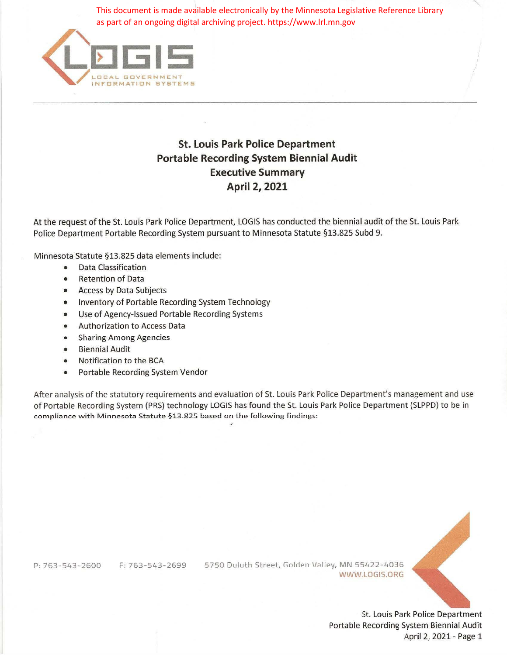as part of an ongoing digital archiving project. https://www.lrl.mn.gov



## **St. Louis Park Police Department Portable Recording System Biennial Audit Executive Summary April 2, 2021**

At the request of the St. Louis Park Police Department, LOGIS has conducted the biennial audit of the St. Louis Park Police Department Portable Recording System pursuant to Minnesota Statute §13.825 Subd 9.

Minnesota Statute §13.825 data elements include:

- Data Classification
- Retention of Data
- Access by Data Subjects
- Inventory of Portable Recording System Technology
- Use of Agency-Issued Portable Recording Systems
- Authorization to Access Data
- Sharing Among Agencies
- Biennial Audit
- Notification to the BCA
- Portable Recording System Vendor

After analysis of the statutory requirements and evaluation of St. Louis Park Police Department's management and use of Portable Recording System {PRS) technology LOGIS has found the St. Louis Park Police Department (SLPPD) to be in compliance with Minnesota Statute §13.825 based on the following findings: This documents innade considered the channel considered in the page 12, 2021<br>
Applies Referred in This document is made available electronically by the Minnesota Legislative Reference Library<br>
St. Louis Park Police Departm

P:763-543-2600 F:763-543-2699 5750 Duluth Street, Golden Valley, MN 55422- 4036 WWW.LOGIS.ORG



St. Louis Park Police Department Portable Recording System Biennial Audit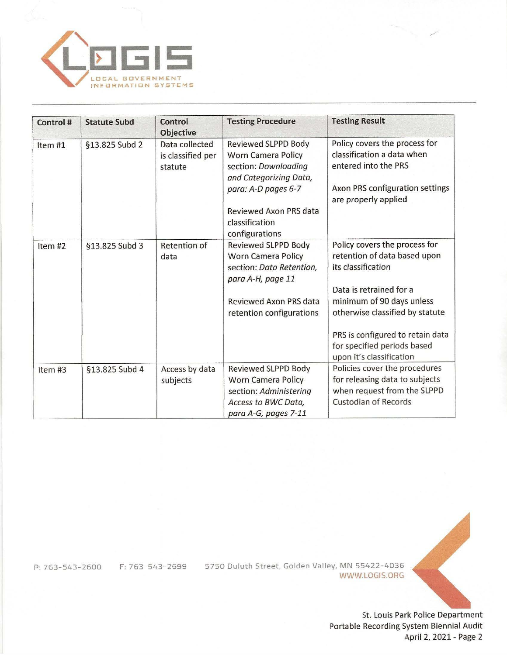

| Control #          | <b>Statute Subd</b> | Control<br><b>Objective</b>                    | <b>Testing Procedure</b>                                                                                                  | <b>Testing Result</b>                                                                                                                          |
|--------------------|---------------------|------------------------------------------------|---------------------------------------------------------------------------------------------------------------------------|------------------------------------------------------------------------------------------------------------------------------------------------|
| Item#1             | §13.825 Subd 2      | Data collected<br>is classified per<br>statute | Reviewed SLPPD Body<br><b>Worn Camera Policy</b><br>section: Downloading<br>and Categorizing Data,<br>para: A-D pages 6-7 | Policy covers the process for<br>classification a data when<br>entered into the PRS<br>Axon PRS configuration settings<br>are properly applied |
|                    |                     |                                                | Reviewed Axon PRS data<br>classification<br>configurations                                                                |                                                                                                                                                |
| Item <sub>#2</sub> | §13.825 Subd 3      | <b>Retention of</b><br>data                    | <b>Reviewed SLPPD Body</b><br><b>Worn Camera Policy</b><br>section: Data Retention,<br>para A-H, page 11                  | Policy covers the process for<br>retention of data based upon<br>its classification                                                            |
|                    |                     |                                                | <b>Reviewed Axon PRS data</b><br>retention configurations                                                                 | Data is retrained for a<br>minimum of 90 days unless<br>otherwise classified by statute                                                        |
|                    |                     |                                                |                                                                                                                           | PRS is configured to retain data<br>for specified periods based<br>upon it's classification                                                    |
| Item#3             | §13.825 Subd 4      | Access by data<br>subjects                     | <b>Reviewed SLPPD Body</b><br>Worn Camera Policy<br>section: Administering<br>Access to BWC Data,<br>para A-G, pages 7-11 | Policies cover the procedures<br>for releasing data to subjects<br>when request from the SLPPD<br><b>Custodian of Records</b>                  |

P: 763- 543-2600 F: 763- 543-2699 5750 Duluth Street, Golden Valley, MN 55422-4036 WWW.LOGIS.ORG

St. Louis Park Police Department Portable Recording System Biennial Audit April 2, 2021 - Page 2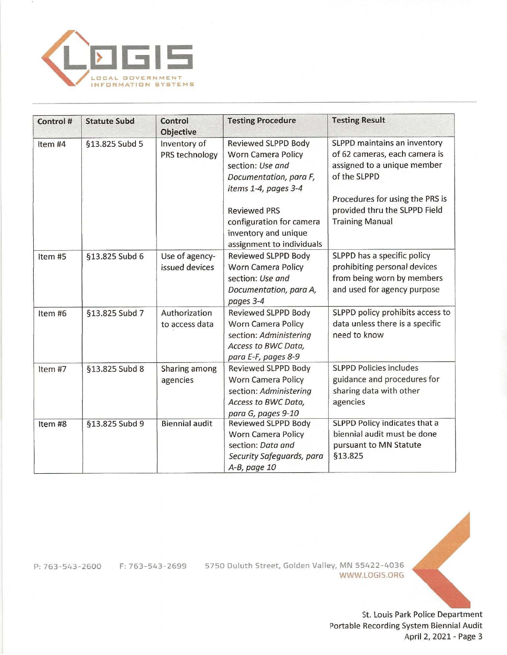

| Control #          | <b>Statute Subd</b> | Control<br><b>Objective</b>      | <b>Testing Procedure</b>                                                                                                                                                                                                              | <b>Testing Result</b>                                                                                                                                                                                      |
|--------------------|---------------------|----------------------------------|---------------------------------------------------------------------------------------------------------------------------------------------------------------------------------------------------------------------------------------|------------------------------------------------------------------------------------------------------------------------------------------------------------------------------------------------------------|
| Item #4            | §13.825 Subd 5      | Inventory of<br>PRS technology   | <b>Reviewed SLPPD Body</b><br><b>Worn Camera Policy</b><br>section: Use and<br>Documentation, para F,<br>items 1-4, pages 3-4<br><b>Reviewed PRS</b><br>configuration for camera<br>inventory and unique<br>assignment to individuals | SLPPD maintains an inventory<br>of 62 cameras, each camera is<br>assigned to a unique member<br>of the SLPPD<br>Procedures for using the PRS is<br>provided thru the SLPPD Field<br><b>Training Manual</b> |
| Item <sub>#5</sub> | §13.825 Subd 6      | Use of agency-<br>issued devices | <b>Reviewed SLPPD Body</b><br><b>Worn Camera Policy</b><br>section: Use and<br>Documentation, para A,<br>pages 3-4                                                                                                                    | SLPPD has a specific policy<br>prohibiting personal devices<br>from being worn by members<br>and used for agency purpose                                                                                   |
| Item#6             | §13.825 Subd 7      | Authorization<br>to access data  | Reviewed SLPPD Body<br><b>Worn Camera Policy</b><br>section: Administering<br>Access to BWC Data,<br>para E-F, pages 8-9                                                                                                              | SLPPD policy prohibits access to<br>data unless there is a specific<br>need to know                                                                                                                        |
| Item #7            | §13.825 Subd 8      | Sharing among<br>agencies        | Reviewed SLPPD Body<br><b>Worn Camera Policy</b><br>section: Administering<br>Access to BWC Data,<br>para G, pages 9-10                                                                                                               | <b>SLPPD Policies includes</b><br>guidance and procedures for<br>sharing data with other<br>agencies                                                                                                       |
| Item #8            | §13.825 Subd 9      | <b>Biennial audit</b>            | <b>Reviewed SLPPD Body</b><br><b>Worn Camera Policy</b><br>section: Data and<br>Security Safeguards, para<br>A-B, page 10                                                                                                             | SLPPD Policy indicates that a<br>biennial audit must be done<br>pursuant to MN Statute<br><b>§13.825</b>                                                                                                   |

P: 763-543-2600 F:763- 543-2699 5750 Duluth Street, Golden Valley, MN 55422-4036 WWW.LOGIS.ORG



St. Louis Park Police Department Portable Recording System Biennial Audit April 2, 2021 - Page 3